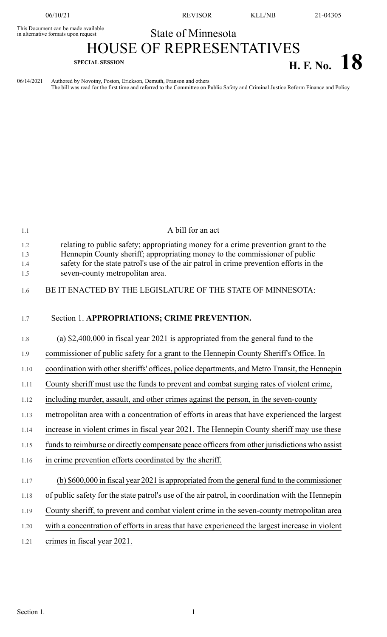This Document can be made available<br>in alternative formats upon request

06/10/21 REVISOR KLL/NB 21-04305

## State of Minnesota

## HOUSE OF REPRESENTATIVES **H. F. No.**  $18$

06/14/2021 Authored by Novotny, Poston, Erickson, Demuth, Franson and others The bill was read for the first time and referred to the Committee on Public Safety and Criminal Justice Reform Finance and Policy

| 1.1                      | A bill for an act                                                                                                                                                                                                                                                                             |
|--------------------------|-----------------------------------------------------------------------------------------------------------------------------------------------------------------------------------------------------------------------------------------------------------------------------------------------|
| 1.2<br>1.3<br>1.4<br>1.5 | relating to public safety; appropriating money for a crime prevention grant to the<br>Hennepin County sheriff; appropriating money to the commissioner of public<br>safety for the state patrol's use of the air patrol in crime prevention efforts in the<br>seven-county metropolitan area. |
| 1.6                      | BE IT ENACTED BY THE LEGISLATURE OF THE STATE OF MINNESOTA:                                                                                                                                                                                                                                   |
| 1.7                      | Section 1. APPROPRIATIONS; CRIME PREVENTION.                                                                                                                                                                                                                                                  |
| 1.8                      | (a) $$2,400,000$ in fiscal year 2021 is appropriated from the general fund to the                                                                                                                                                                                                             |
| 1.9                      | commissioner of public safety for a grant to the Hennepin County Sheriff's Office. In                                                                                                                                                                                                         |
| 1.10                     | coordination with other sheriffs' offices, police departments, and Metro Transit, the Hennepin                                                                                                                                                                                                |
| 1.11                     | County sheriff must use the funds to prevent and combat surging rates of violent crime,                                                                                                                                                                                                       |
| 1.12                     | including murder, assault, and other crimes against the person, in the seven-county                                                                                                                                                                                                           |
| 1.13                     | metropolitan area with a concentration of efforts in areas that have experienced the largest                                                                                                                                                                                                  |
| 1.14                     | increase in violent crimes in fiscal year 2021. The Hennepin County sheriff may use these                                                                                                                                                                                                     |
| 1.15                     | funds to reimburse or directly compensate peace officers from other jurisdictions who assist                                                                                                                                                                                                  |
| 1.16                     | in crime prevention efforts coordinated by the sheriff.                                                                                                                                                                                                                                       |
| 1.17                     | (b) \$600,000 in fiscal year 2021 is appropriated from the general fund to the commissioner                                                                                                                                                                                                   |
| 1.18                     | of public safety for the state patrol's use of the air patrol, in coordination with the Hennepin                                                                                                                                                                                              |
| 1.19                     | County sheriff, to prevent and combat violent crime in the seven-county metropolitan area                                                                                                                                                                                                     |
| 1.20                     | with a concentration of efforts in areas that have experienced the largest increase in violent                                                                                                                                                                                                |
| 1.21                     | crimes in fiscal year 2021.                                                                                                                                                                                                                                                                   |